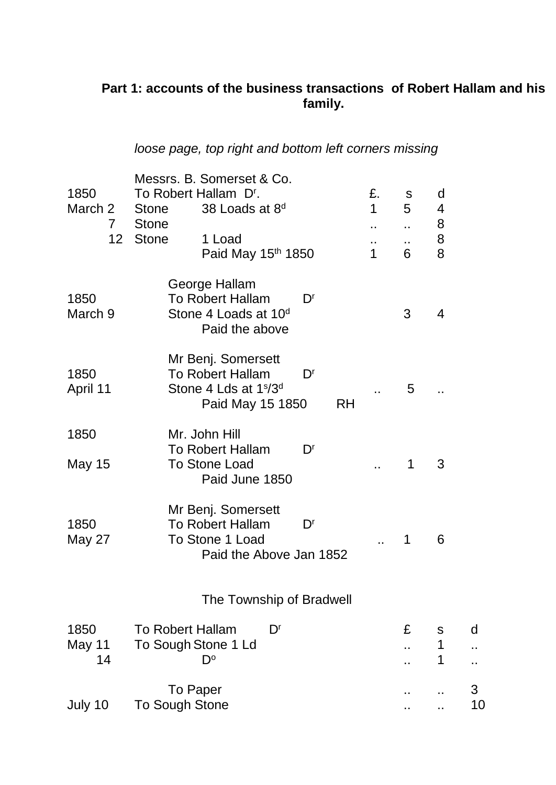## **Part 1: accounts of the business transactions of Robert Hallam and his family.**

*loose page, top right and bottom left corners missing*

| 1850<br>March 2<br>$\overline{7}$<br>12 | Stone<br><b>Stone</b><br><b>Stone</b> | Messrs. B. Somerset & Co.<br>To Robert Hallam D'.<br>38 Loads at 8 <sup>d</sup><br>1 Load<br>Paid May 15 <sup>th</sup> 1850 |         |           | £.<br>1<br>$\epsilon$ .<br>ω.<br>$\mathbf 1$ | S<br>5<br>Ω,<br>$\sim$<br>6 | d<br>4<br>8<br>8<br>8 |         |
|-----------------------------------------|---------------------------------------|-----------------------------------------------------------------------------------------------------------------------------|---------|-----------|----------------------------------------------|-----------------------------|-----------------------|---------|
| 1850<br>March 9                         |                                       | George Hallam<br><b>To Robert Hallam</b><br>Stone 4 Loads at 10 <sup>d</sup><br>Paid the above                              | $D^{r}$ |           |                                              | 3                           | 4                     |         |
| 1850<br>April 11                        |                                       | Mr Benj. Somersett<br><b>To Robert Hallam</b><br>Stone 4 Lds at 1 <sup>s</sup> /3 <sup>d</sup><br>Paid May 15 1850          | Dr      | <b>RH</b> |                                              | 5                           |                       |         |
| 1850<br><b>May 15</b>                   |                                       | Mr. John Hill<br><b>To Robert Hallam</b><br><b>To Stone Load</b><br>Paid June 1850                                          | $D^{r}$ |           |                                              | 1                           | 3                     |         |
| 1850<br>May 27                          |                                       | Mr Benj. Somersett<br><b>To Robert Hallam</b><br>To Stone 1 Load<br>Paid the Above Jan 1852                                 | Dr      |           |                                              | 1                           | 6                     |         |
|                                         |                                       | The Township of Bradwell                                                                                                    |         |           |                                              |                             |                       |         |
| 1850<br>May 11<br>14                    | <b>To Robert Hallam</b>               | Dr<br>To Sough Stone 1 Ld<br>D°                                                                                             |         |           |                                              | £                           | S<br>1<br>1           | d       |
| July 10                                 | <b>To Sough Stone</b>                 | To Paper                                                                                                                    |         |           |                                              |                             |                       | 3<br>10 |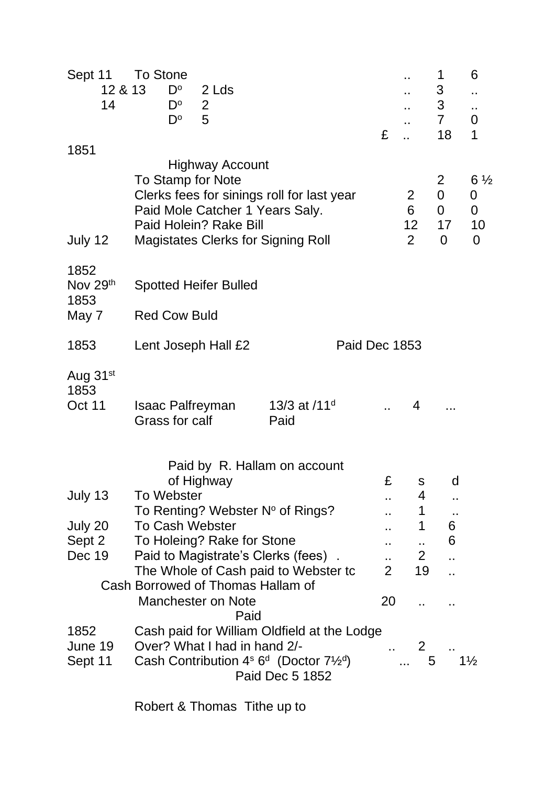| Sept 11<br>12 & 13<br>14                      | To Stone<br>D°<br>D°<br>D°         | 2 Lds<br>$\overline{2}$<br>5              |                                                                                                                                                | £              |                                                                       | 1<br>3<br>$\mathfrak{S}$<br>$\overline{7}$<br>18              | 6<br>Ω,<br>$\bullet$<br>$\boldsymbol{0}$<br>$\overline{1}$   |
|-----------------------------------------------|------------------------------------|-------------------------------------------|------------------------------------------------------------------------------------------------------------------------------------------------|----------------|-----------------------------------------------------------------------|---------------------------------------------------------------|--------------------------------------------------------------|
| 1851                                          |                                    |                                           |                                                                                                                                                |                |                                                                       |                                                               |                                                              |
| July 12                                       | To Stamp for Note                  | Highway Account<br>Paid Holein? Rake Bill | Clerks fees for sinings roll for last year<br>Paid Mole Catcher 1 Years Saly.<br><b>Magistates Clerks for Signing Roll</b>                     |                | $\overline{2}$<br>6 <sup>1</sup><br>12 <sup>2</sup><br>$\overline{2}$ | $\overline{2}$<br>$\overline{0}$<br>$\overline{0}$<br>17<br>0 | $6\frac{1}{2}$<br>0<br>$\boldsymbol{0}$<br>10<br>$\mathbf 0$ |
| 1852                                          |                                    |                                           |                                                                                                                                                |                |                                                                       |                                                               |                                                              |
| Nov 29th<br>1853                              |                                    | <b>Spotted Heifer Bulled</b>              |                                                                                                                                                |                |                                                                       |                                                               |                                                              |
| May 7                                         | <b>Red Cow Buld</b>                |                                           |                                                                                                                                                |                |                                                                       |                                                               |                                                              |
| 1853                                          | Lent Joseph Hall £2                |                                           |                                                                                                                                                | Paid Dec 1853  |                                                                       |                                                               |                                                              |
| Aug 31 <sup>st</sup><br>1853<br><b>Oct 11</b> | Isaac Palfreyman<br>Grass for calf |                                           | 13/3 at $/11d$<br>Paid                                                                                                                         |                | 4                                                                     |                                                               |                                                              |
|                                               |                                    |                                           |                                                                                                                                                |                |                                                                       |                                                               |                                                              |
|                                               |                                    | of Highway                                | Paid by R. Hallam on account                                                                                                                   | £              | ${\sf S}$                                                             | d                                                             |                                                              |
| July 13                                       | <b>To Webster</b>                  |                                           |                                                                                                                                                |                | 4                                                                     |                                                               |                                                              |
|                                               |                                    |                                           | To Renting? Webster Nº of Rings?                                                                                                               |                | 1                                                                     |                                                               |                                                              |
| July 20                                       | <b>To Cash Webster</b>             |                                           |                                                                                                                                                |                | 1                                                                     | 6                                                             |                                                              |
| Sept 2                                        |                                    | To Holeing? Rake for Stone                |                                                                                                                                                |                |                                                                       | 6                                                             |                                                              |
| Dec 19                                        |                                    |                                           | Paid to Magistrate's Clerks (fees)<br>The Whole of Cash paid to Webster tc                                                                     | $\overline{2}$ | $\overline{2}$<br>19                                                  |                                                               |                                                              |
|                                               | Cash Borrowed of Thomas Hallam of  |                                           |                                                                                                                                                |                |                                                                       |                                                               |                                                              |
|                                               |                                    | <b>Manchester on Note</b><br>Paid         |                                                                                                                                                | 20             |                                                                       |                                                               |                                                              |
| 1852<br>June 19<br>Sept 11                    |                                    | Over? What I had in hand 2/-              | Cash paid for William Oldfield at the Lodge<br>Cash Contribution $4^s$ 6 <sup>d</sup> (Doctor $7\frac{1}{2}$ <sup>d</sup> )<br>Paid Dec 5 1852 |                | $\overline{2}$<br>5                                                   |                                                               | $1\frac{1}{2}$                                               |

Robert & Thomas Tithe up to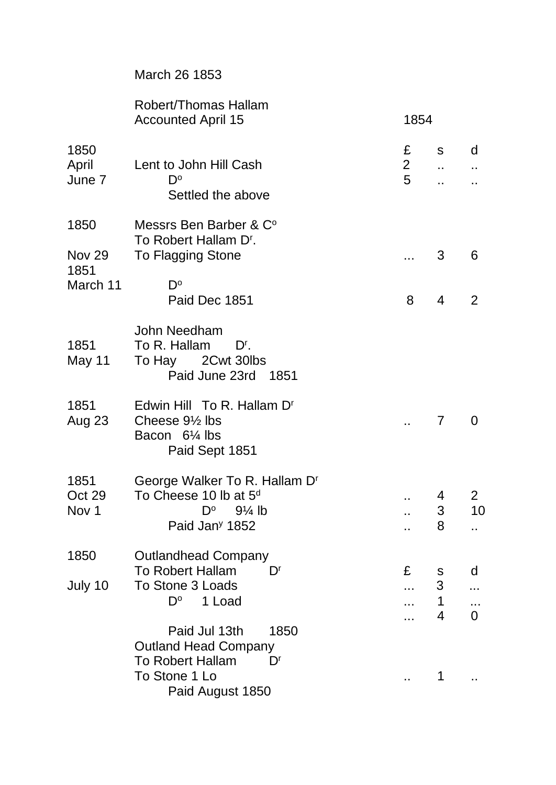|                               | March 26 1853                                                                                                               |                          |                                               |                      |
|-------------------------------|-----------------------------------------------------------------------------------------------------------------------------|--------------------------|-----------------------------------------------|----------------------|
|                               | <b>Robert/Thomas Hallam</b><br><b>Accounted April 15</b>                                                                    | 1854                     |                                               |                      |
| 1850<br>April<br>June 7       | Lent to John Hill Cash<br>$D^{\circ}$<br>Settled the above                                                                  | £<br>$\overline{2}$<br>5 | S<br>$\mathbf{r} \in \mathbb{R}^{n \times n}$ | d                    |
| 1850<br><b>Nov 29</b><br>1851 | Messrs Ben Barber & C°<br>To Robert Hallam D'.<br><b>To Flagging Stone</b>                                                  | $\cdots$                 | 3                                             | 6                    |
| March 11                      | $D^{\circ}$<br>Paid Dec 1851                                                                                                | 8                        | 4                                             | 2                    |
| 1851<br>May 11                | John Needham<br>To R. Hallam<br>$D^{r}$ .<br>To Hay 2Cwt 30lbs<br>Paid June 23rd 1851                                       |                          |                                               |                      |
| 1851<br>Aug 23                | Edwin Hill To R. Hallam Dr<br>Cheese $9\frac{1}{2}$ lbs<br>Bacon 6 <sup>1/4</sup> lbs<br>Paid Sept 1851                     |                          | $\overline{7}$                                | $\Omega$             |
| 1851<br>Oct 29<br>Nov 1       | George Walker To R. Hallam Dr<br>To Cheese 10 lb at 5 <sup>d</sup><br>D°<br>$9\frac{1}{4}$ lb<br>Paid Jan <sup>y</sup> 1852 |                          | 4<br>3<br>8                                   | 2 <sup>1</sup><br>10 |
| 1850<br>July 10               | <b>Outlandhead Company</b><br><b>To Robert Hallam</b><br>$\mathsf{D}^{\mathsf{r}}$<br>To Stone 3 Loads<br>D°<br>1 Load      | £                        | ${\sf S}$<br>3<br>1                           | d<br>a a a           |
|                               | Paid Jul 13th<br>1850<br><b>Outland Head Company</b><br><b>To Robert Hallam</b><br>Dr<br>To Stone 1 Lo<br>Paid August 1850  |                          | 4<br>1                                        | $\overline{0}$       |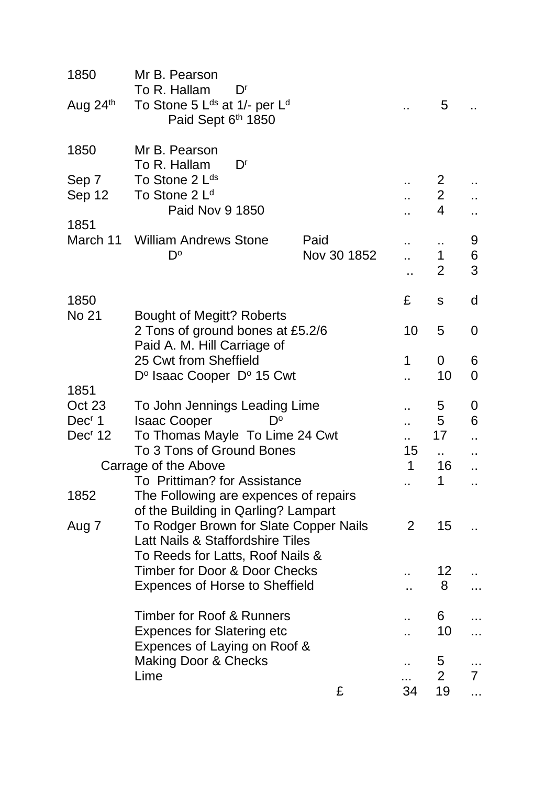| 1850<br>Aug 24th                                                   | Mr B. Pearson<br>To R. Hallam<br>$D^{r}$<br>To Stone 5 $Lds$ at 1/- per $Ld$<br>Paid Sept 6th 1850             |                     |                   | 5                                     |                     |
|--------------------------------------------------------------------|----------------------------------------------------------------------------------------------------------------|---------------------|-------------------|---------------------------------------|---------------------|
| 1850                                                               | Mr B. Pearson<br>To R. Hallam<br>$D^{r}$                                                                       |                     |                   |                                       |                     |
| Sep 7<br>Sep 12                                                    | To Stone 2 L <sup>ds</sup><br>To Stone 2 L <sup>d</sup><br>Paid Nov 9 1850                                     |                     |                   | $\overline{2}$<br>$\overline{2}$<br>4 |                     |
| 1851                                                               | March 11 William Andrews Stone<br>D°                                                                           | Paid<br>Nov 30 1852 |                   | $\epsilon$ .<br>$\mathbf 1$<br>2      | 9<br>6<br>3         |
| 1850                                                               |                                                                                                                |                     | £                 | S                                     | d                   |
| No 21                                                              | <b>Bought of Megitt? Roberts</b><br>2 Tons of ground bones at £5.2/6<br>Paid A. M. Hill Carriage of            |                     | 10                | 5                                     | 0                   |
|                                                                    | 25 Cwt from Sheffield<br>D <sup>o</sup> Isaac Cooper D <sup>o</sup> 15 Cwt                                     |                     | 1                 | $\overline{0}$<br>10                  | 6<br>$\overline{0}$ |
| 1851<br><b>Oct 23</b><br>Dec <sup>r</sup> 1<br>Dec <sup>r</sup> 12 | To John Jennings Leading Lime<br><b>Isaac Cooper</b><br>D°<br>To Thomas Mayle To Lime 24 Cwt                   |                     | å.<br>аń.         | 5<br>5 <sup>5</sup><br>17             | 0<br>6<br>Ω.        |
|                                                                    | To 3 Tons of Ground Bones<br>Carrage of the Above                                                              |                     | 15<br>$\mathbf 1$ | Ω,<br>16<br>1                         |                     |
| 1852                                                               | To Prittiman? for Assistance<br>The Following are expences of repairs<br>of the Building in Qarling? Lampart   |                     | $\bullet$         |                                       | ٠.                  |
| Aug 7                                                              | To Rodger Brown for Slate Copper Nails<br>Latt Nails & Staffordshire Tiles<br>To Reeds for Latts, Roof Nails & |                     | $\overline{2}$    | 15                                    |                     |
|                                                                    | <b>Timber for Door &amp; Door Checks</b><br><b>Expences of Horse to Sheffield</b>                              |                     |                   | 12<br>8                               |                     |
|                                                                    | <b>Timber for Roof &amp; Runners</b><br><b>Expences for Slatering etc</b><br>Expences of Laying on Roof &      |                     |                   | 6<br>10                               |                     |
|                                                                    | Making Door & Checks<br>Lime                                                                                   | £                   | 34                | 5<br>$\overline{2}$<br>19             | $\overline{7}$      |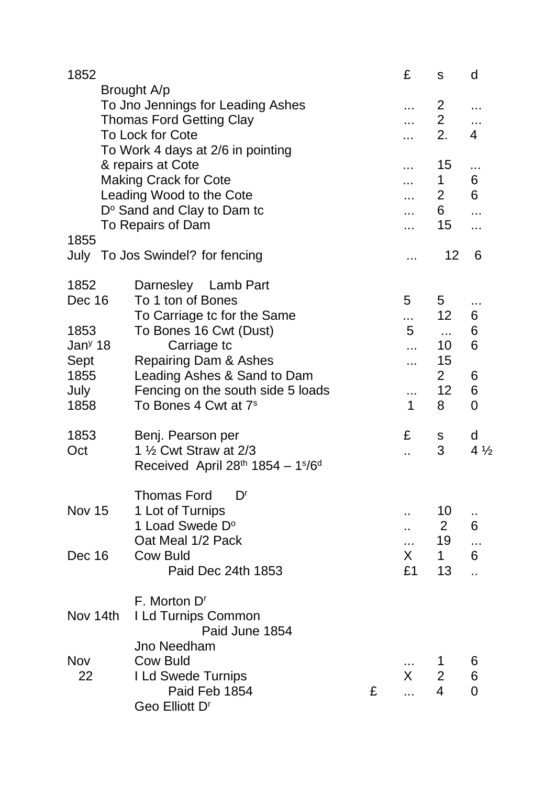| 1852                |                                                                  |   | £                | S                     | d               |
|---------------------|------------------------------------------------------------------|---|------------------|-----------------------|-----------------|
|                     | Brought A/p                                                      |   |                  |                       |                 |
|                     | To Jno Jennings for Leading Ashes                                |   | .                | $\overline{2}$        | <b>.</b>        |
|                     | <b>Thomas Ford Getting Clay</b>                                  |   |                  | $\overline{2}$        | $\cdots$        |
|                     | To Lock for Cote                                                 |   |                  | 2.                    | $\overline{4}$  |
|                     | To Work 4 days at 2/6 in pointing                                |   |                  |                       |                 |
|                     | & repairs at Cote                                                |   | .                | 15                    | $\ddotsc$       |
|                     | <b>Making Crack for Cote</b>                                     |   |                  | 1                     | $6\phantom{1}$  |
|                     | Leading Wood to the Cote                                         |   |                  | $\mathbf{2}$          | 6               |
|                     | D° Sand and Clay to Dam tc<br>To Repairs of Dam                  |   |                  | $6\overline{6}$<br>15 |                 |
| 1855                |                                                                  |   |                  |                       |                 |
|                     | July To Jos Swindel? for fencing                                 |   | $\cdots$         | 12                    | 6               |
| 1852                | Darnesley Lamb Part                                              |   |                  |                       |                 |
| Dec 16              | To 1 ton of Bones                                                |   | 5                | 5                     | $\cdots$        |
|                     | To Carriage to for the Same                                      |   | .                | 12                    | 6               |
| 1853                | To Bones 16 Cwt (Dust)                                           |   | 5                | $\ddotsc$             | $6\phantom{1}6$ |
| Jan <sup>y</sup> 18 | Carriage tc                                                      |   |                  | 10 <sup>°</sup>       | $6\phantom{1}6$ |
| Sept                | <b>Repairing Dam &amp; Ashes</b>                                 |   |                  | 15                    |                 |
| 1855<br>July        | Leading Ashes & Sand to Dam<br>Fencing on the south side 5 loads |   |                  | $\mathbf{2}$<br>12    | 6<br>6          |
| 1858                | To Bones 4 Cwt at 7 <sup>s</sup>                                 |   | .<br>$\mathbf 1$ | 8                     | $\overline{0}$  |
|                     |                                                                  |   |                  |                       |                 |
| 1853                | Benj. Pearson per                                                |   | £                | ${\mathsf S}$         | d               |
| Oct                 | 1 1/2 Cwt Straw at 2/3                                           |   | ٠.               | 3                     | $4\frac{1}{2}$  |
|                     | Received April $28^{th}$ 1854 - 1 <sup>s</sup> /6 <sup>d</sup>   |   |                  |                       |                 |
|                     | <b>Thomas Ford</b><br>$D^{r}$                                    |   |                  |                       |                 |
| <b>Nov 15</b>       | 1 Lot of Turnips                                                 |   |                  | 10                    |                 |
|                     | 1 Load Swede D°                                                  |   |                  | $\mathbf{2}$          | 6               |
|                     | Oat Meal 1/2 Pack                                                |   | .                | 19                    | $\ddotsc$       |
| <b>Dec 16</b>       | <b>Cow Buld</b>                                                  |   | $X_{\cdot}$      | $\mathbf 1$           | $6\overline{6}$ |
|                     | Paid Dec 24th 1853                                               |   | £1               | 13                    |                 |
|                     | F. Morton Dr                                                     |   |                  |                       |                 |
| Nov 14th            | I Ld Turnips Common<br>Paid June 1854                            |   |                  |                       |                 |
|                     | Jno Needham                                                      |   |                  |                       |                 |
| <b>Nov</b>          | <b>Cow Buld</b>                                                  |   |                  |                       | 6               |
| 22                  | I Ld Swede Turnips                                               |   | X                | $\overline{2}$        | $6\phantom{1}6$ |
|                     | Paid Feb 1854                                                    | £ |                  | 4                     | $\overline{0}$  |
|                     | Geo Elliott Dr                                                   |   |                  |                       |                 |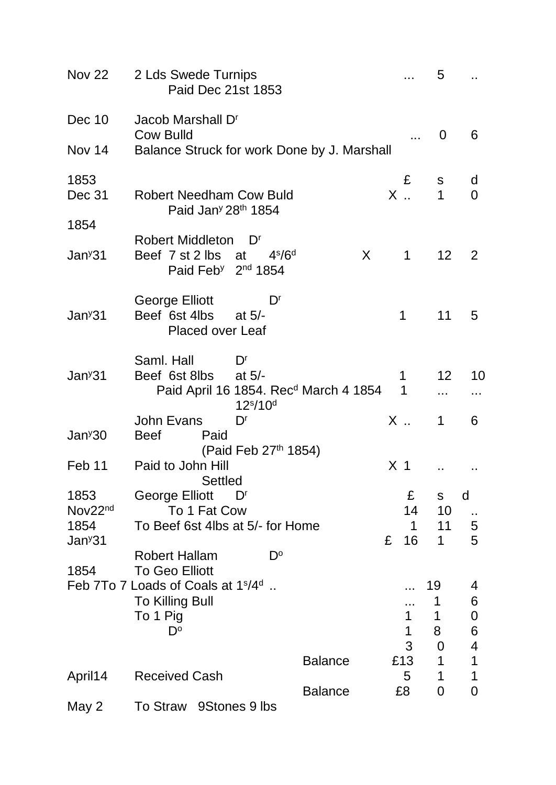| <b>Nov 22</b>       | 2 Lds Swede Turnips<br>Paid Dec 21st 1853                                                                                                   |                |                |             | 5               |                |
|---------------------|---------------------------------------------------------------------------------------------------------------------------------------------|----------------|----------------|-------------|-----------------|----------------|
| Dec 10              | Jacob Marshall Dr<br><b>Cow Bulld</b>                                                                                                       |                |                |             | 0               | 6              |
| Nov 14              | Balance Struck for work Done by J. Marshall                                                                                                 |                |                |             |                 |                |
| 1853<br>Dec 31      | <b>Robert Needham Cow Buld</b><br>Paid Jan <sup>y</sup> 28 <sup>th</sup> 1854                                                               |                | X              | £           | S<br>1          | d<br>$\Omega$  |
| 1854                |                                                                                                                                             |                |                |             |                 |                |
| Jan <sup>y</sup> 31 | <b>Robert Middleton</b><br>$\mathbf{D}^{\mathsf{r}}$<br>Beef 7 st 2 lbs at<br>$4\frac{s}{6}$<br>Paid Feb <sup>y</sup> $2nd$ 1854            | X              |                | $\mathbf 1$ | 12 <sup>2</sup> | $\overline{2}$ |
| Jan <sup>y</sup> 31 | <b>George Elliott</b><br>ŊΓ<br>Beef 6st 4lbs<br>at $5/-$<br><b>Placed over Leaf</b>                                                         |                |                | 1           | 11              | 5              |
| Jan <sup>y</sup> 31 | Saml. Hall<br>$D^{r}$<br>Beef 6st 8lbs<br>at $5/-$<br>Paid April 16 1854. Rec <sup>d</sup> March 4 1854<br>12 <sup>s</sup> /10 <sup>d</sup> |                |                | 1<br>1      | 12              | 10             |
| Jan <sup>y</sup> 30 | John Evans<br>$D^{r}$<br><b>Beef</b><br>Paid<br>(Paid Feb 27th 1854)                                                                        |                |                | X           | 1               | 6              |
| Feb 11              | Paid to John Hill<br>Settled                                                                                                                |                | X <sub>1</sub> |             |                 |                |
| 1853                | George Elliott<br>$D^{r}$                                                                                                                   |                |                | £           | S               | d              |
| Nov22 <sup>nd</sup> | To 1 Fat Cow                                                                                                                                |                |                | 14          | 10              |                |
| 1854                | To Beef 6st 4lbs at 5/- for Home                                                                                                            |                |                | 1           | 11              | 5              |
| Jan <sup>y</sup> 31 |                                                                                                                                             |                | £              | 16          | 1               | 5              |
|                     | <b>Robert Hallam</b><br>$D^{\rm o}$                                                                                                         |                |                |             |                 |                |
| 1854                | <b>To Geo Elliott</b><br>Feb 7To 7 Loads of Coals at 1 <sup>s</sup> /4 <sup>d</sup>                                                         |                |                |             | 19              | 4              |
|                     | <b>To Killing Bull</b>                                                                                                                      |                |                |             | 1               | 6              |
|                     | To 1 Pig                                                                                                                                    |                |                | 1           | 1               | 0              |
|                     | D°                                                                                                                                          |                |                | 1           | 8               | 6              |
|                     |                                                                                                                                             |                |                | 3           | 0               | 4              |
|                     |                                                                                                                                             | <b>Balance</b> |                | £13         | 1               | 1              |
| April14             | <b>Received Cash</b>                                                                                                                        |                |                | 5           | 1               | 1              |
|                     |                                                                                                                                             | <b>Balance</b> |                | £8          | 0               | $\overline{0}$ |
| May 2               | To Straw 9Stones 9 lbs                                                                                                                      |                |                |             |                 |                |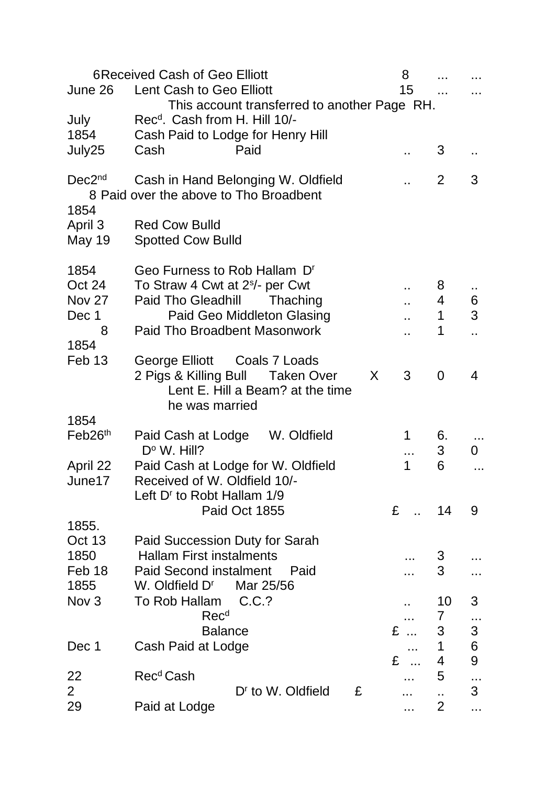|                     | <b>6Received Cash of Geo Elliott</b>        |                                                                              |   | 8              |                |                |
|---------------------|---------------------------------------------|------------------------------------------------------------------------------|---|----------------|----------------|----------------|
| June 26             | Lent Cash to Geo Elliott                    |                                                                              |   | 15             |                |                |
|                     |                                             | This account transferred to another Page RH.                                 |   |                |                |                |
| July                | Rec <sup>d</sup> . Cash from H. Hill 10/-   |                                                                              |   |                |                |                |
| 1854                |                                             | Cash Paid to Lodge for Henry Hill                                            |   |                |                |                |
| July25              | Cash                                        | Paid                                                                         |   |                | 3              |                |
| Dec2 <sup>nd</sup>  |                                             | Cash in Hand Belonging W. Oldfield<br>8 Paid over the above to Tho Broadbent |   |                | 2              | 3              |
| 1854                |                                             |                                                                              |   |                |                |                |
| April 3             | <b>Red Cow Bulld</b>                        |                                                                              |   |                |                |                |
| May 19              | <b>Spotted Cow Bulld</b>                    |                                                                              |   |                |                |                |
| 1854                | Geo Furness to Rob Hallam Dr                |                                                                              |   |                |                |                |
| Oct 24              | To Straw 4 Cwt at 2 <sup>s</sup> /- per Cwt |                                                                              |   |                | 8              |                |
| <b>Nov 27</b>       | <b>Paid Tho Gleadhill</b>                   | Thaching                                                                     |   |                | 4              | 6              |
| Dec 1               |                                             | Paid Geo Middleton Glasing                                                   |   |                | 1              | $\mathfrak{S}$ |
| 8                   |                                             | <b>Paid Tho Broadbent Masonwork</b>                                          |   |                | 1              |                |
| 1854                |                                             |                                                                              |   |                |                |                |
| Feb 13              |                                             | George Elliott Coals 7 Loads                                                 |   |                |                |                |
|                     |                                             | 2 Pigs & Killing Bull Taken Over                                             | X | 3              | $\Omega$       | 4              |
|                     |                                             | Lent E. Hill a Beam? at the time                                             |   |                |                |                |
|                     | he was married                              |                                                                              |   |                |                |                |
| 1854                |                                             |                                                                              |   |                |                |                |
| Feb26 <sup>th</sup> | $D^{\circ}$ W. Hill?                        | Paid Cash at Lodge W. Oldfield                                               |   | 1<br>$\cdots$  | 6.<br>3        | 0              |
| April 22            |                                             | Paid Cash at Lodge for W. Oldfield                                           |   | 1              | 6              |                |
| June17              | Received of W. Oldfield 10/-                |                                                                              |   |                |                |                |
|                     | Left D <sup>r</sup> to Robt Hallam 1/9      |                                                                              |   |                |                |                |
|                     |                                             | Paid Oct 1855                                                                |   | £              | 14             | 9              |
| 1855.               |                                             |                                                                              |   |                |                |                |
| Oct 13              |                                             | Paid Succession Duty for Sarah                                               |   |                |                |                |
| 1850                | <b>Hallam First instalments</b>             |                                                                              |   |                | 3              |                |
| Feb 18              | <b>Paid Second instalment</b>               | Paid                                                                         |   |                | 3              |                |
| 1855                | W. Oldfield Dr                              | Mar 25/56                                                                    |   |                |                |                |
| Nov <sub>3</sub>    | To Rob Hallam                               | C.C.?                                                                        |   |                | 10             | 3              |
|                     | Rec <sup>d</sup>                            |                                                                              |   |                | 7              | <b>.</b>       |
|                     | <b>Balance</b>                              |                                                                              |   | £              | 3              | $\mathbf{3}$   |
| Dec 1               | Cash Paid at Lodge                          |                                                                              |   |                |                | 6              |
|                     |                                             |                                                                              |   | £<br>$\ddotsc$ | 4              | 9              |
| 22                  | Rec <sup>d</sup> Cash                       |                                                                              |   |                | 5              |                |
| $\overline{2}$      |                                             | D <sub>r</sub> to W. Oldfield<br>£                                           |   |                | ٠.             | 3              |
| 29                  | Paid at Lodge                               |                                                                              |   |                | $\overline{2}$ |                |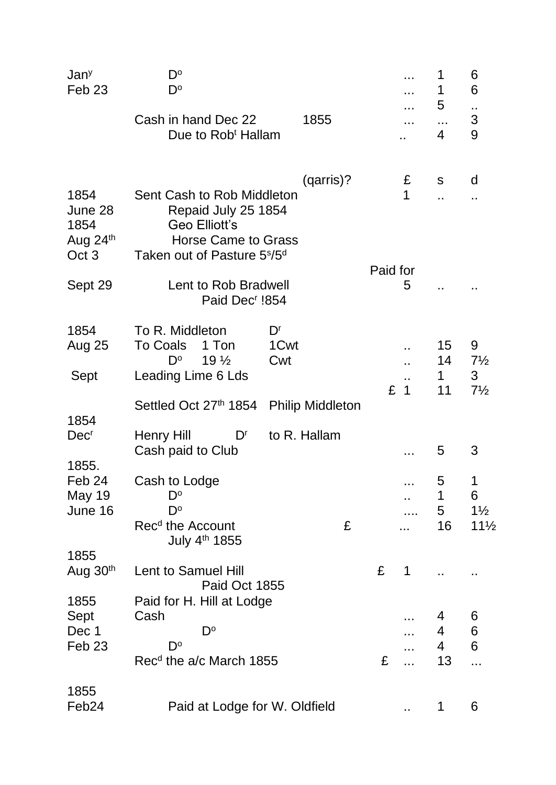| Jan <sup>y</sup><br>Feb <sub>23</sub>       | D°<br>D°                                                                                                     |                         |               | 1<br>1<br>5                 | 6<br>6                                |
|---------------------------------------------|--------------------------------------------------------------------------------------------------------------|-------------------------|---------------|-----------------------------|---------------------------------------|
|                                             | Cash in hand Dec 22<br>Due to Rob <sup>t</sup> Hallam                                                        | 1855                    |               | $\ddotsc$<br>$\overline{4}$ | $\blacksquare$<br>$\mathfrak{S}$<br>9 |
| 1854<br>June 28                             | Sent Cash to Rob Middleton<br>Repaid July 25 1854                                                            | (qarris)?               | £             | S<br>$\epsilon$ .           | d<br>Ω,                               |
| 1854<br>Aug $24th$<br>Oct 3                 | Geo Elliott's<br><b>Horse Came to Grass</b><br>Taken out of Pasture 5 <sup>s</sup> /5 <sup>d</sup>           |                         |               |                             |                                       |
| Sept 29                                     | Lent to Rob Bradwell<br>Paid Dec <sup>r</sup> !854                                                           |                         | Paid for<br>5 |                             |                                       |
| 1854<br>Aug 25                              | To R. Middleton<br>$D^{r}$<br>1 <sub>Cwt</sub><br>To Coals<br>1 Ton<br>$D^{\circ}$<br>$19\frac{1}{2}$<br>Cwt |                         |               | 15<br>14                    | 9<br>$7\frac{1}{2}$                   |
| Sept                                        | Leading Lime 6 Lds                                                                                           |                         | £1            | 1<br>11                     | 3                                     |
|                                             | Settled Oct 27 <sup>th</sup> 1854                                                                            | <b>Philip Middleton</b> |               |                             | $7\frac{1}{2}$                        |
| 1854<br>Dec <sup>r</sup>                    | <b>Henry Hill</b><br>$D^{r}$<br>Cash paid to Club                                                            | to R. Hallam            |               | 5                           | 3                                     |
| 1855.<br>Feb 24<br><b>May 19</b><br>June 16 | Cash to Lodge<br>$D^{\circ}$<br>D°                                                                           |                         |               | 5<br>1<br>5                 | 1<br>6<br>$1\frac{1}{2}$              |
| 1855                                        | Rec <sup>d</sup> the Account<br>July 4 <sup>th</sup> 1855                                                    | £                       |               | 16                          | $11\frac{1}{2}$                       |
| Aug $30th$                                  | Lent to Samuel Hill<br>Paid Oct 1855                                                                         |                         | £<br>1        |                             |                                       |
| 1855<br>Sept<br>Dec 1<br>Feb <sub>23</sub>  | Paid for H. Hill at Lodge<br>Cash<br>D°<br>D°                                                                |                         |               | 4<br>4<br>4                 | 6<br>6<br>6                           |
| 1855<br>Feb <sub>24</sub>                   | Rec <sup>d</sup> the a/c March 1855<br>Paid at Lodge for W. Oldfield                                         |                         | £             | 13<br>1                     | 6                                     |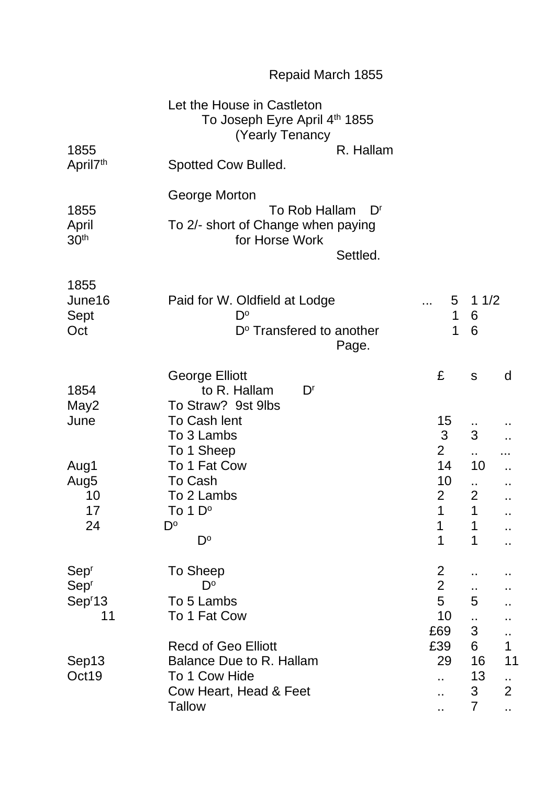## Repaid March 1855

| 1855<br>April7th                                                  | Let the House in Castleton<br>To Joseph Eyre April 4th 1855<br>(Yearly Tenancy<br>R. Hallam<br><b>Spotted Cow Bulled.</b>                                                                    |                                                                        |                                                                  |                           |
|-------------------------------------------------------------------|----------------------------------------------------------------------------------------------------------------------------------------------------------------------------------------------|------------------------------------------------------------------------|------------------------------------------------------------------|---------------------------|
| 1855<br>April<br>30 <sup>th</sup>                                 | George Morton<br>To Rob Hallam<br>$D^{r}$<br>To 2/- short of Change when paying<br>for Horse Work<br>Settled.                                                                                |                                                                        |                                                                  |                           |
| 1855<br>June16<br>Sept<br>Oct                                     | Paid for W. Oldfield at Lodge<br>D°<br>D <sup>o</sup> Transfered to another<br>Page.                                                                                                         | 5<br>1<br>1                                                            | 11/2<br>6<br>6                                                   |                           |
| 1854<br>May2<br>June<br>Aug1<br>Aug5<br>10<br>17<br>24            | <b>George Elliott</b><br>to R. Hallam<br>$D^{r}$<br>To Straw? 9st 9lbs<br><b>To Cash lent</b><br>To 3 Lambs<br>To 1 Sheep<br>To 1 Fat Cow<br>To Cash<br>To 2 Lambs<br>To 1 $D^{\circ}$<br>D° | £<br>15<br>3<br>$\overline{2}$<br>14<br>10<br>$\overline{2}$<br>1<br>1 | $\mathsf{S}$<br>3<br><b>ка</b><br>10<br>$\overline{2}$<br>1<br>1 | d<br>٠.                   |
| Sep <sup>r</sup><br>Sep <sup>r</sup><br>Sep <sup>r</sup> 13<br>11 | D°<br>To Sheep<br>D°<br>To 5 Lambs<br>To 1 Fat Cow                                                                                                                                           | 1<br>2<br>$\overline{2}$<br>5<br>10                                    | 1<br>٠.<br>5<br>Ω,                                               |                           |
| Sep13<br>Oct19                                                    | <b>Recd of Geo Elliott</b><br>Balance Due to R. Hallam<br>To 1 Cow Hide<br>Cow Heart, Head & Feet<br><b>Tallow</b>                                                                           | £69<br>£39<br>29<br>ο.                                                 | 3<br>6<br>16<br>13<br>$\mathfrak{S}$<br>7                        | 1<br>11<br>$\overline{2}$ |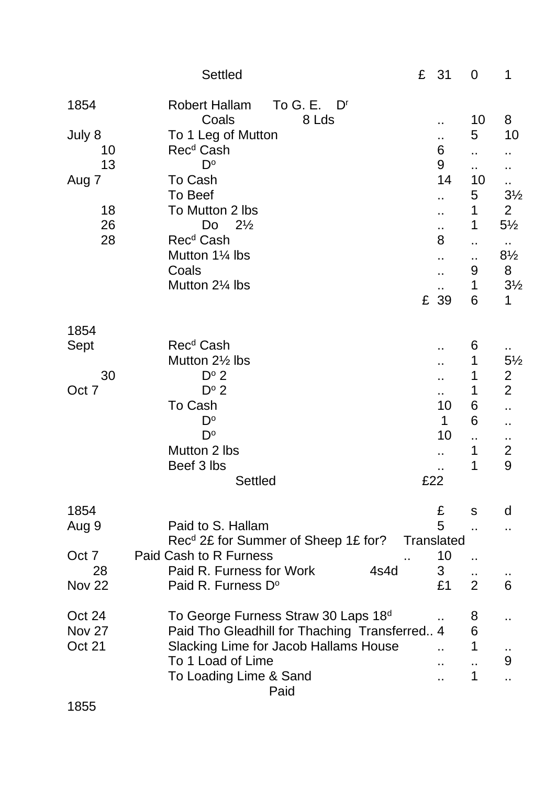|                                                       | <b>Settled</b>                                                                                                                                                                                                                                               | £ 31                                                                                      | $\overline{0}$                                                      | 1                                                                                                                       |
|-------------------------------------------------------|--------------------------------------------------------------------------------------------------------------------------------------------------------------------------------------------------------------------------------------------------------------|-------------------------------------------------------------------------------------------|---------------------------------------------------------------------|-------------------------------------------------------------------------------------------------------------------------|
| 1854<br>July 8<br>10<br>13<br>Aug 7<br>18<br>26<br>28 | To $G. E.$ D'<br><b>Robert Hallam</b><br>8 Lds<br>Coals<br>To 1 Leg of Mutton<br>Rec <sup>d</sup> Cash<br>D°<br><b>To Cash</b><br>To Beef<br>To Mutton 2 lbs<br>$2\frac{1}{2}$<br>Do<br>Rec <sup>d</sup> Cash<br>Mutton 11⁄4 lbs<br>Coals<br>Mutton 21⁄4 lbs | Ω,<br>Ω,<br>6<br>9<br>14<br>ă.<br>$\ddot{\phantom{1}}$<br>$\sim$<br>8<br>Ω.<br>.,<br>£ 39 | 10<br>5<br>Ω.<br>Ω.<br>10<br>5<br>1<br>1<br>ò,<br>Ω.<br>9<br>1<br>6 | 8<br>10<br>Ω.<br>$3\frac{1}{2}$<br>$\overline{2}$<br>$5\frac{1}{2}$<br>٠.<br>$8\frac{1}{2}$<br>8<br>$3\frac{1}{2}$<br>1 |
| 1854<br>Sept<br>30<br>Oct 7                           | Rec <sup>d</sup> Cash<br>Mutton 2 <sup>1/2</sup> lbs<br>$D^{\circ} 2$<br>$D^{\circ}$ 2<br>To Cash<br>$D^{\circ}$<br>D°<br>Mutton 2 lbs<br>Beef 3 lbs<br><b>Settled</b>                                                                                       | Ω,<br>Ω.<br>Ω.<br>Ω,<br>10<br>$\mathbf 1$<br>10<br>£22                                    | 6<br>1<br>1<br>1<br>6<br>6<br>å.<br>1<br>1                          | οń,<br>$5\frac{1}{2}$<br>$\overline{2}$<br>$\overline{2}$<br>Ω,<br>Ω,<br>Ω,<br>$\overline{2}$<br>9                      |
| 1854<br>Aug 9<br>Oct 7<br>28<br><b>Nov 22</b>         | Paid to S. Hallam<br>Rec <sup>d</sup> 2£ for Summer of Sheep 1£ for?<br>Paid Cash to R Furness<br>Paid R. Furness for Work<br>4s4d<br>Paid R. Furness D°                                                                                                     | £<br>5<br>Translated<br>10<br>3<br>£1                                                     | S<br>$\overline{2}$                                                 | d<br>6                                                                                                                  |
| Oct 24<br><b>Nov 27</b><br>Oct 21                     | To George Furness Straw 30 Laps 18 <sup>d</sup><br>Paid Tho Gleadhill for Thaching Transferred 4<br><b>Slacking Lime for Jacob Hallams House</b><br>To 1 Load of Lime<br>To Loading Lime & Sand<br>Paid                                                      | ٠.                                                                                        | 8<br>6<br>1<br>1                                                    | 9                                                                                                                       |

1855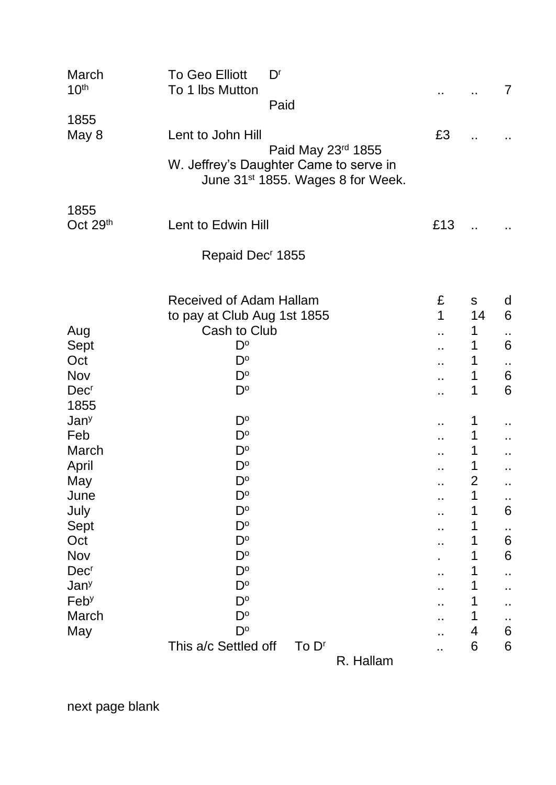| March<br>10 <sup>th</sup>                                                                                                                                 | <b>To Geo Elliott</b><br>$D^{r}$<br>To 1 lbs Mutton<br>Paid                                                                                                                                        |                               |                                                                       | 7                                 |
|-----------------------------------------------------------------------------------------------------------------------------------------------------------|----------------------------------------------------------------------------------------------------------------------------------------------------------------------------------------------------|-------------------------------|-----------------------------------------------------------------------|-----------------------------------|
| 1855<br>May 8                                                                                                                                             | Lent to John Hill<br>Paid May 23rd 1855<br>W. Jeffrey's Daughter Came to serve in<br>June 31 <sup>st</sup> 1855. Wages 8 for Week.                                                                 | £3                            |                                                                       |                                   |
| 1855<br>Oct 29th                                                                                                                                          | Lent to Edwin Hill<br>Repaid Dec <sup>r</sup> 1855                                                                                                                                                 | £13                           |                                                                       |                                   |
| Aug<br>Sept<br>Oct<br>Nov<br>Dec <sup>r</sup>                                                                                                             | Received of Adam Hallam<br>to pay at Club Aug 1st 1855<br>Cash to Club<br>$D^{\circ}$<br>$D^{\circ}$<br>$D^{\circ}$<br>$D^{\circ}$                                                                 | £<br>$\overline{1}$<br>$\sim$ | ${\sf S}$<br>14<br>1<br>1<br>1<br>1<br>1                              | d<br>6<br>6<br>6<br>6             |
| 1855<br>Jan <sup>y</sup><br>Feb<br>March<br>April<br>May<br>June<br>July<br>Sept<br>Oct<br>Nov<br>Dec <sup>r</sup><br><b>Jany</b><br>Feby<br>March<br>May | $D^{\circ}$<br>$D^{\circ}$<br>$D^{\circ}$<br>$D^{\circ}$<br>D°<br>D°<br>D°<br>$D^{\circ}$<br>$D^{\circ}$<br>D°<br>$D^{\circ}$<br>D°<br>D°<br>D°<br>D°<br>This a/c Settled off<br>To D <sup>r</sup> | $\sim$<br>٠.<br>٠.<br>. .     | 1<br>1<br>1<br>$\overline{2}$<br>1<br>1<br>1<br>1<br>1<br>1<br>4<br>6 | ٠.<br>٠.<br>6<br>6<br>6<br>6<br>6 |

R. Hallam

next page blank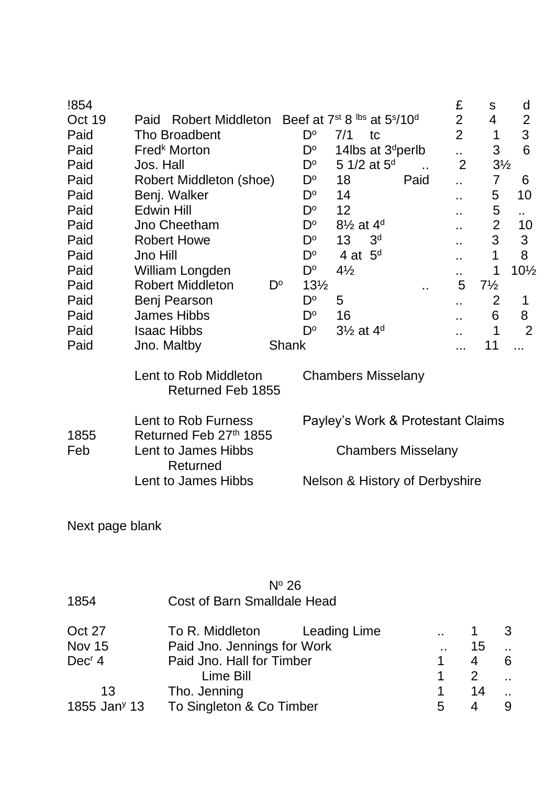| !854   |                                                   |              |                 |                                                                  |                |                                   | £                    | $\mathsf S$    | d               |
|--------|---------------------------------------------------|--------------|-----------------|------------------------------------------------------------------|----------------|-----------------------------------|----------------------|----------------|-----------------|
| Oct 19 | <b>Robert Middleton</b><br>Paid                   |              |                 | Beef at 7 <sup>st</sup> 8 lbs at 5 <sup>s</sup> /10 <sup>d</sup> |                |                                   | $\overline{2}$       | 4              | $\overline{2}$  |
| Paid   | Tho Broadbent                                     |              | $D^{\circ}$     | 7/1                                                              | tc             |                                   | $\overline{2}$       | $\mathbf 1$    | 3               |
| Paid   | Fred <sup>k</sup> Morton                          |              | D°              | 14lbs at 3 <sup>d</sup> perlb                                    |                |                                   | ò.                   | 3              | 6               |
| Paid   | Jos. Hall                                         |              | D°              | 5 1/2 at $5^d$                                                   |                |                                   | $\overline{2}$       | $3\frac{1}{2}$ |                 |
| Paid   | Robert Middleton (shoe)                           |              | D°              | 18                                                               |                | Paid                              |                      | $\overline{7}$ | 6               |
| Paid   | Benj. Walker                                      |              | D°              | 14                                                               |                |                                   | a a                  | 5              | 10              |
| Paid   | <b>Edwin Hill</b>                                 |              | $D^{\circ}$     | 12                                                               |                |                                   | Ω.                   | 5              | Ω.              |
| Paid   | Jno Cheetham                                      |              | D°              | $8\frac{1}{2}$ at $4^d$                                          |                |                                   | a a                  | $\overline{2}$ | 10              |
| Paid   | <b>Robert Howe</b>                                |              | D°              | 13                                                               | 3 <sup>d</sup> |                                   | i.                   | 3              | 3               |
| Paid   | Jno Hill                                          |              | $D^{\circ}$     | 4 at $5d$                                                        |                |                                   | Ω.                   | 1              | 8               |
| Paid   | William Longden                                   |              | D°              | $4\frac{1}{2}$                                                   |                |                                   | ٠.                   | 1              | $10\frac{1}{2}$ |
| Paid   | <b>Robert Middleton</b>                           | $D^{\circ}$  | $13\frac{1}{2}$ |                                                                  |                | $\sim$                            | 5                    | $7\frac{1}{2}$ |                 |
| Paid   | Benj Pearson                                      |              | D°              | 5                                                                |                |                                   | $\ddot{\phantom{1}}$ | 2              | 1               |
| Paid   | <b>James Hibbs</b>                                |              | $D^{\circ}$     | 16                                                               |                |                                   | ٠.                   | 6              | 8               |
| Paid   | <b>Isaac Hibbs</b>                                |              | $D^{\circ}$     | $3\frac{1}{2}$ at $4^d$                                          |                |                                   |                      | $\mathbf 1$    | $\overline{2}$  |
| Paid   | Jno. Maltby                                       | <b>Shank</b> |                 |                                                                  |                |                                   | .                    | 11             |                 |
|        | Lent to Rob Middleton<br><b>Returned Feb 1855</b> |              |                 | <b>Chambers Misselany</b>                                        |                |                                   |                      |                |                 |
| 1855   | Lent to Rob Furness<br>Returned Feb 27th 1855     |              |                 |                                                                  |                | Payley's Work & Protestant Claims |                      |                |                 |
| Feb    | Lent to James Hibbs<br>Returned                   |              |                 |                                                                  |                | <b>Chambers Misselany</b>         |                      |                |                 |
|        | Lent to James Hibbs                               |              |                 |                                                                  |                | Nelson & History of Derbyshire    |                      |                |                 |

Next page blank

|                          | $N^{\circ}$ 26                     |                     |                      |    |                      |
|--------------------------|------------------------------------|---------------------|----------------------|----|----------------------|
| 1854                     | <b>Cost of Barn Smalldale Head</b> |                     |                      |    |                      |
| Oct 27                   | To R. Middleton                    | <b>Leading Lime</b> | $\ddot{\phantom{a}}$ |    | 3                    |
| <b>Nov 15</b>            | Paid Jno. Jennings for Work        |                     |                      | 15 | $\ddot{\phantom{a}}$ |
| Dec <sup>r</sup> 4       | Paid Jno. Hall for Timber          |                     |                      | 4  | 6                    |
|                          | Lime Bill                          |                     |                      | 2  | $\sim$ $\sim$        |
| 13                       | Tho. Jenning                       |                     | 1                    | 14 |                      |
| 1855 Jan <sup>y</sup> 13 | To Singleton & Co Timber           |                     | 5                    | 4  | 9                    |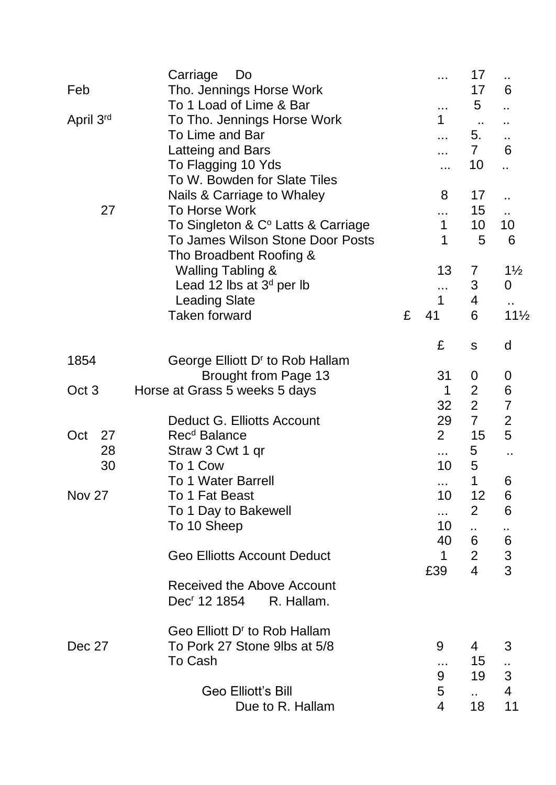| Feb              | Carriage<br>Do<br>Tho. Jennings Horse Work             |   |                | 17<br>17                  | $\blacksquare$<br>6 |
|------------------|--------------------------------------------------------|---|----------------|---------------------------|---------------------|
| April 3rd        | To 1 Load of Lime & Bar<br>To Tho. Jennings Horse Work |   | .<br>1         | 5                         |                     |
|                  | To Lime and Bar                                        |   |                | $\bullet$ $\bullet$<br>5. | Ω,<br>$\sim$        |
|                  | Latteing and Bars                                      |   |                | $7\phantom{.}$            | 6                   |
|                  | To Flagging 10 Yds                                     |   |                | 10                        |                     |
|                  | To W. Bowden for Slate Tiles                           |   |                |                           |                     |
|                  | Nails & Carriage to Whaley                             |   | 8              | 17                        | Ω,                  |
| 27               | <b>To Horse Work</b>                                   |   | .              | 15                        | å.                  |
|                  | To Singleton & C° Latts & Carriage                     |   | $\mathbf 1$    | 10                        | 10                  |
|                  | To James Wilson Stone Door Posts                       |   | 1              | 5                         | 6                   |
|                  | Tho Broadbent Roofing &                                |   |                |                           |                     |
|                  | <b>Walling Tabling &amp;</b>                           |   | 13             | 7                         | $1\frac{1}{2}$      |
|                  | Lead 12 lbs at $3d$ per lb                             |   | $\cdots$       | 3                         | 0                   |
|                  | <b>Leading Slate</b>                                   |   | 1              | 4                         |                     |
|                  | <b>Taken forward</b>                                   | £ | 41             | 6                         | $11\frac{1}{2}$     |
|                  |                                                        |   | £              | S                         | d                   |
| 1854             | George Elliott D <sup>r</sup> to Rob Hallam            |   |                |                           |                     |
|                  | <b>Brought from Page 13</b>                            |   | 31             | 0                         | 0                   |
| Oct <sub>3</sub> | Horse at Grass 5 weeks 5 days                          |   | 1              | $\overline{2}$            | 6                   |
|                  |                                                        |   | 32             | $\overline{2}$            | $\overline{7}$      |
|                  | <b>Deduct G. Elliotts Account</b>                      |   | 29             | $\overline{7}$            | $\overline{2}$      |
| Oct<br>27        | Rec <sup>d</sup> Balance                               |   | $\overline{2}$ | 15                        | 5                   |
| 28               | Straw 3 Cwt 1 qr                                       |   | .              | 5                         | Ω,                  |
| 30               | To 1 Cow                                               |   | 10             | 5                         |                     |
|                  | <b>To 1 Water Barrell</b>                              |   | <b>.</b>       | 1                         | 6                   |
| <b>Nov 27</b>    | To 1 Fat Beast                                         |   | 10             | 12                        | 6                   |
|                  | To 1 Day to Bakewell                                   |   | .              | $\overline{2}$            | 6                   |
|                  | To 10 Sheep                                            |   | 10             |                           |                     |
|                  |                                                        |   | 40             | 6                         | 6                   |
|                  | <b>Geo Elliotts Account Deduct</b>                     |   | 1              | $\overline{2}$<br>4       | $\frac{3}{3}$       |
|                  | Received the Above Account                             |   | £39            |                           |                     |
|                  | Dec <sup>r</sup> 12 1854<br>R. Hallam.                 |   |                |                           |                     |
|                  | Geo Elliott D' to Rob Hallam                           |   |                |                           |                     |
| Dec 27           | To Pork 27 Stone 9lbs at 5/8                           |   | 9              | 4                         | 3                   |
|                  | To Cash                                                |   | .              | 15                        | ٠.                  |
|                  |                                                        |   | 9              | 19                        | 3                   |
|                  | <b>Geo Elliott's Bill</b>                              |   | 5              |                           | 4                   |
|                  | Due to R. Hallam                                       |   | 4              | 18                        | 11                  |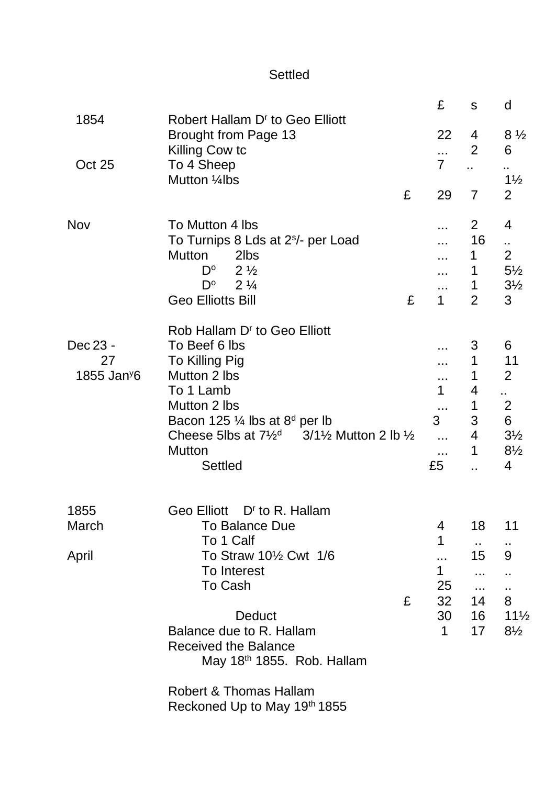## Settled

|                                           |                                                                                                                                                                                                                                                                                                                                 |   | £                                  | ${\sf S}$                                             | d                                                                                                             |
|-------------------------------------------|---------------------------------------------------------------------------------------------------------------------------------------------------------------------------------------------------------------------------------------------------------------------------------------------------------------------------------|---|------------------------------------|-------------------------------------------------------|---------------------------------------------------------------------------------------------------------------|
| 1854<br><b>Oct 25</b>                     | Robert Hallam D <sup>r</sup> to Geo Elliott<br><b>Brought from Page 13</b><br>Killing Cow tc<br>To 4 Sheep                                                                                                                                                                                                                      |   | 22<br>.<br>$\overline{7}$          | 4<br>2                                                | $8\frac{1}{2}$<br>6<br>ω.                                                                                     |
|                                           | Mutton 1/4lbs                                                                                                                                                                                                                                                                                                                   | £ | 29                                 | $\overline{7}$                                        | $1\frac{1}{2}$<br>$\overline{2}$                                                                              |
| Nov                                       | To Mutton 4 lbs<br>To Turnips 8 Lds at 2 <sup>s</sup> /- per Load<br>Mutton<br>2lbs<br>$2\frac{1}{2}$<br>$D^{\circ}$<br>$2\frac{1}{4}$<br>$D^{\circ}$<br><b>Geo Elliotts Bill</b>                                                                                                                                               | £ | .<br>.<br>1                        | $\overline{2}$<br>16<br>1<br>1<br>1<br>$\overline{2}$ | 4<br>$\ddot{\phantom{1}}$<br>$\overline{2}$<br>$5\frac{1}{2}$<br>$3\frac{1}{2}$<br>3                          |
| Dec 23 -<br>27<br>1855 Jan <sup>y</sup> 6 | Rob Hallam D' to Geo Elliott<br>To Beef 6 lbs<br>To Killing Pig<br>Mutton 2 lbs<br>To 1 Lamb<br>Mutton 2 lbs<br>Bacon 125 $\frac{1}{4}$ lbs at 8 <sup>d</sup> per lb<br>Cheese 5lbs at $7\frac{1}{2}$ <sup>d</sup> 3/1 <sup>1</sup> / <sub>2</sub> Mutton 2 lb <sup>1</sup> / <sub>2</sub><br><b>Mutton</b><br><b>Settled</b>   |   | 1<br>3 <sup>1</sup><br>£5          | 3<br>1<br>1<br>4<br>1<br>3<br>4<br>1                  | 6<br>11<br>$\overline{2}$<br>ο.<br>$\overline{2}$<br>$6\overline{6}$<br>$3\frac{1}{2}$<br>$8\frac{1}{2}$<br>4 |
| 1855<br>March<br>April                    | Geo Elliott<br>D <sup>r</sup> to R. Hallam<br><b>To Balance Due</b><br>To 1 Calf<br>To Straw 10 <sup>1</sup> / <sub>2</sub> Cwt 1/6<br>To Interest<br><b>To Cash</b><br><b>Deduct</b><br>Balance due to R. Hallam<br><b>Received the Balance</b><br>May 18 <sup>th</sup> 1855. Rob. Hallam<br><b>Robert &amp; Thomas Hallam</b> | £ | 4<br>1<br>1<br>25<br>32<br>30<br>1 | 18<br>15<br>.<br>14<br>16<br>17                       | 11<br>9<br>$\sim$<br>8<br>$11\frac{1}{2}$<br>$8\frac{1}{2}$                                                   |
|                                           | Reckoned Up to May 19th 1855                                                                                                                                                                                                                                                                                                    |   |                                    |                                                       |                                                                                                               |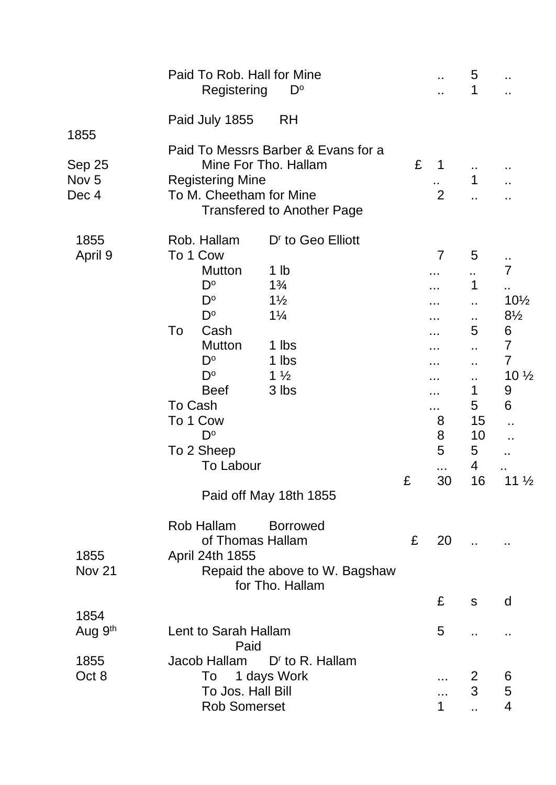|                  | Paid To Rob. Hall for Mine<br>Registering<br>D° |   |                | 5<br>1    |                      |
|------------------|-------------------------------------------------|---|----------------|-----------|----------------------|
| 1855             | Paid July 1855<br><b>RH</b>                     |   |                |           |                      |
|                  | Paid To Messrs Barber & Evans for a             |   |                |           |                      |
| Sep 25           | Mine For Tho. Hallam                            | £ | $\mathbf 1$    |           |                      |
| Nov <sub>5</sub> | <b>Registering Mine</b>                         |   | н.             | 1         |                      |
| Dec 4            | To M. Cheetham for Mine                         |   | $\overline{2}$ | Ω.        |                      |
|                  | <b>Transfered to Another Page</b>               |   |                |           |                      |
| 1855             | Rob. Hallam<br>D <sup>r</sup> to Geo Elliott    |   |                |           |                      |
| April 9          | To 1 Cow                                        |   | $\overline{7}$ | 5         | $\ddot{\phantom{1}}$ |
|                  | 1 <sub>lb</sub><br><b>Mutton</b>                |   |                | ٠.        | $\overline{7}$       |
|                  | $D^{\circ}$<br>$1\frac{3}{4}$                   |   |                | 1         |                      |
|                  | $1\frac{1}{2}$<br>$D^{\circ}$                   |   |                | Ω,        | $10\frac{1}{2}$      |
|                  | $1\frac{1}{4}$<br>$D^{\circ}$                   |   |                | Ω,        | $8\frac{1}{2}$       |
|                  | To<br>Cash                                      |   |                | 5         | 6                    |
|                  | 1 lbs<br><b>Mutton</b>                          |   |                | Ω.        | $\overline{7}$       |
|                  | 1 lbs<br>D°                                     |   |                | Ω,        | $\overline{7}$       |
|                  | $D^{\circ}$<br>$1\frac{1}{2}$                   |   |                | Ω,        | $10\frac{1}{2}$      |
|                  | 3 lbs<br><b>Beef</b>                            |   |                | 1         | 9                    |
|                  | <b>To Cash</b>                                  |   |                | 5         | 6                    |
|                  | To 1 Cow                                        |   | 8              | 15        |                      |
|                  | D°                                              |   | 8              | 10        |                      |
|                  | To 2 Sheep                                      |   | 5              | 5         |                      |
|                  | <b>To Labour</b>                                |   |                | 4         |                      |
|                  |                                                 | £ | 30             | 16        | 11 <sub>2</sub>      |
|                  | Paid off May 18th 1855                          |   |                |           |                      |
|                  | Rob Hallam<br><b>Borrowed</b>                   |   |                |           |                      |
|                  | of Thomas Hallam                                | £ | 20             |           |                      |
| 1855             | April 24th 1855                                 |   |                |           |                      |
| <b>Nov 21</b>    | Repaid the above to W. Bagshaw                  |   |                |           |                      |
|                  | for Tho. Hallam                                 |   |                |           |                      |
|                  |                                                 |   | £              | ${\sf S}$ | d                    |
| 1854             |                                                 |   |                |           |                      |
| Aug 9th          | Lent to Sarah Hallam                            |   | 5              |           |                      |
|                  | Paid                                            |   |                |           |                      |
| 1855             | D <sup>r</sup> to R. Hallam<br>Jacob Hallam     |   |                |           |                      |
| Oct 8            | 1 days Work<br>To                               |   |                | 2         | 6                    |
|                  | To Jos. Hall Bill                               |   |                | 3         | 5                    |
|                  | <b>Rob Somerset</b>                             |   | 1              |           | $\overline{4}$       |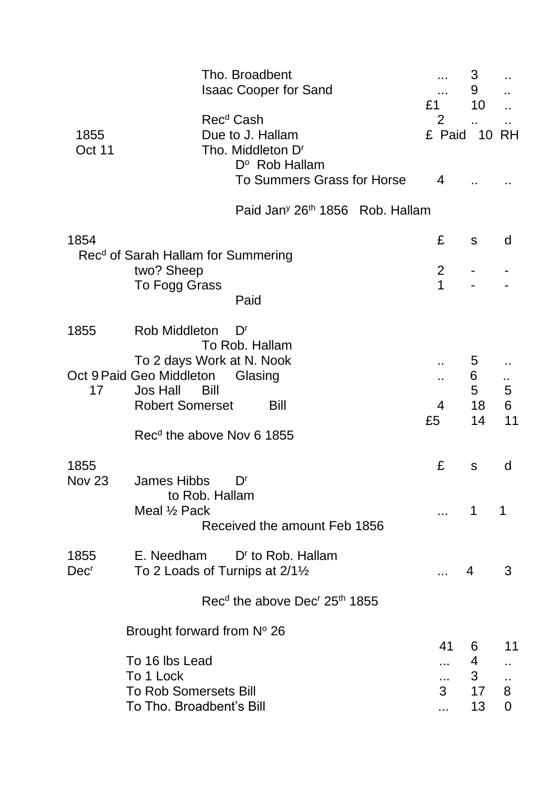|                          |                                                   | Tho. Broadbent<br><b>Isaac Cooper for Sand</b>                                              | £1                       | 3<br>9<br>10 |                  |
|--------------------------|---------------------------------------------------|---------------------------------------------------------------------------------------------|--------------------------|--------------|------------------|
| 1855<br>Oct 11           |                                                   | Rec <sup>d</sup> Cash<br>Due to J. Hallam<br>Tho. Middleton D <sup>r</sup><br>D° Rob Hallam | $\overline{2}$<br>£ Paid |              | <b>10 RH</b>     |
|                          |                                                   | <b>To Summers Grass for Horse</b>                                                           | 4                        |              |                  |
|                          |                                                   | Paid Jan <sup>y</sup> 26 <sup>th</sup> 1856 Rob. Hallam                                     |                          |              |                  |
| 1854                     | Rec <sup>d</sup> of Sarah Hallam for Summering    |                                                                                             | £                        | S            | d                |
|                          | two? Sheep                                        |                                                                                             | 2                        |              |                  |
|                          | To Fogg Grass                                     | Paid                                                                                        | 1                        |              |                  |
| 1855                     | <b>Rob Middleton</b>                              | $D^{r}$<br>To Rob. Hallam                                                                   |                          |              |                  |
|                          | To 2 days Work at N. Nook                         |                                                                                             |                          | 5            |                  |
|                          | Oct 9 Paid Geo Middleton                          | Glasing                                                                                     |                          | 6            | ٠.               |
| 17                       | <b>Jos Hall</b><br>Bill<br><b>Robert Somerset</b> | Bill                                                                                        | 4                        | 5<br>18      | 5<br>6           |
|                          |                                                   |                                                                                             | £5                       | 14           | 11               |
|                          | Rec <sup>d</sup> the above Nov 6 1855             |                                                                                             |                          |              |                  |
| 1855                     |                                                   |                                                                                             | £                        | S            | d                |
| <b>Nov 23</b>            | James Hibbs<br>to Rob. Hallam                     | $D^{r}$                                                                                     |                          |              |                  |
|                          | Meal 1/2 Pack                                     |                                                                                             |                          | 1            |                  |
|                          |                                                   | Received the amount Feb 1856                                                                |                          |              |                  |
| 1855<br>Dec <sup>r</sup> | E. Needham<br>To 2 Loads of Turnips at 2/11/2     | D <sub>r</sub> to Rob. Hallam                                                               |                          | 4            | 3                |
|                          |                                                   | Rec <sup>d</sup> the above Dec <sup>r</sup> 25 <sup>th</sup> 1855                           |                          |              |                  |
|                          | Brought forward from $N^{\circ}$ 26               |                                                                                             |                          |              |                  |
|                          | To 16 lbs Lead                                    |                                                                                             | 41                       | 6<br>4       | 11               |
|                          | To 1 Lock                                         |                                                                                             |                          | 3            |                  |
|                          | <b>To Rob Somersets Bill</b>                      |                                                                                             | 3                        | 17           | 8                |
|                          | To Tho. Broadbent's Bill                          |                                                                                             |                          | 13           | $\boldsymbol{0}$ |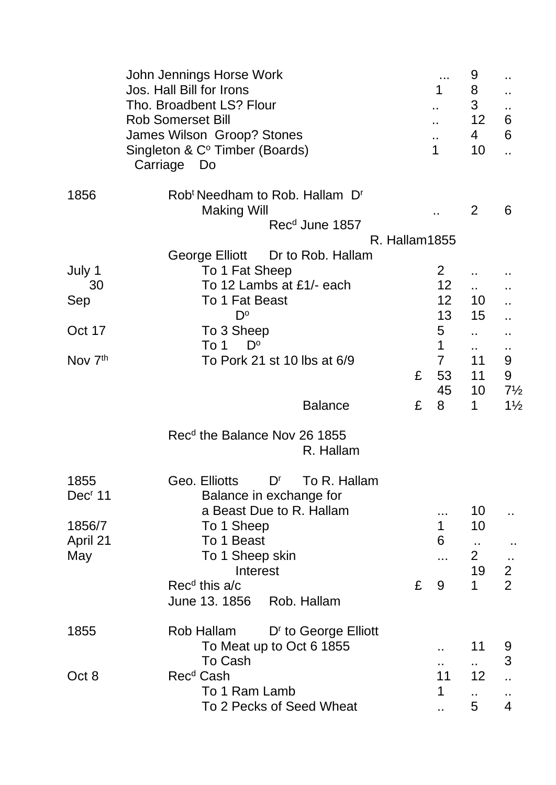|                                                          | John Jennings Horse Work<br>Jos. Hall Bill for Irons<br>Tho. Broadbent LS? Flour<br><b>Rob Somerset Bill</b><br>James Wilson Groop? Stones<br>Singleton & C° Timber (Boards)<br>Carriage<br>Do                                                     | 1<br>$\sim$<br>1                                        | 9<br>8<br>3<br>12<br>4<br>10                                                          | ٠.<br>6<br>6<br>Ω.                                                 |
|----------------------------------------------------------|----------------------------------------------------------------------------------------------------------------------------------------------------------------------------------------------------------------------------------------------------|---------------------------------------------------------|---------------------------------------------------------------------------------------|--------------------------------------------------------------------|
| 1856                                                     | Rob <sup>t</sup> Needham to Rob. Hallam Dr<br><b>Making Will</b><br>Rec <sup>d</sup> June 1857                                                                                                                                                     | R. Hallam1855                                           | 2                                                                                     | 6                                                                  |
| July 1<br>30<br>Sep<br>Oct 17<br>Nov 7 <sup>th</sup>     | <b>George Elliott</b><br>Dr to Rob. Hallam<br>To 1 Fat Sheep<br>To 12 Lambs at £1/- each<br>To 1 Fat Beast<br>D°<br>To 3 Sheep<br>$D^{\circ}$<br>To 1<br>To Pork 21 st 10 lbs at 6/9<br><b>Balance</b><br>Rec <sup>d</sup> the Balance Nov 26 1855 | $\mathbf{2}$<br>5<br>1<br>$\overline{7}$<br>£<br>£<br>8 | Ω,<br>12<br>Ω.<br>12<br>10<br>13<br>15<br>μ.<br>Ω.<br>11<br>53<br>11<br>45<br>10<br>1 | ٠.<br>$\blacksquare$<br>9<br>9<br>$7\frac{1}{2}$<br>$1\frac{1}{2}$ |
| 1855<br>Dec <sup>r</sup> 11<br>1856/7<br>April 21<br>May | R. Hallam<br>Geo. Elliotts<br>$D^{r}$<br>To R. Hallam<br>Balance in exchange for<br>a Beast Due to R. Hallam<br>To 1 Sheep<br>To 1 Beast<br>To 1 Sheep skin<br>Interest<br>$Recd$ this $a/c$<br>June 13. 1856 Rob. Hallam                          | 1<br>6<br>£<br>9                                        | 10<br>10<br>$\sim$<br>$\overline{2}$<br>19<br>1                                       | $\frac{2}{2}$                                                      |
| 1855<br>Oct 8                                            | <b>Rob Hallam</b><br>D <sub>r</sub> to George Elliott<br>To Meat up to Oct 6 1855<br>To Cash<br>Rec <sup>d</sup> Cash<br>To 1 Ram Lamb<br>To 2 Pecks of Seed Wheat                                                                                 | ٠.<br>1                                                 | 11<br>ω.<br>12<br>11<br>$\epsilon$ .<br>5                                             | 9<br>3<br>$\ddot{\phantom{1}}$<br>4                                |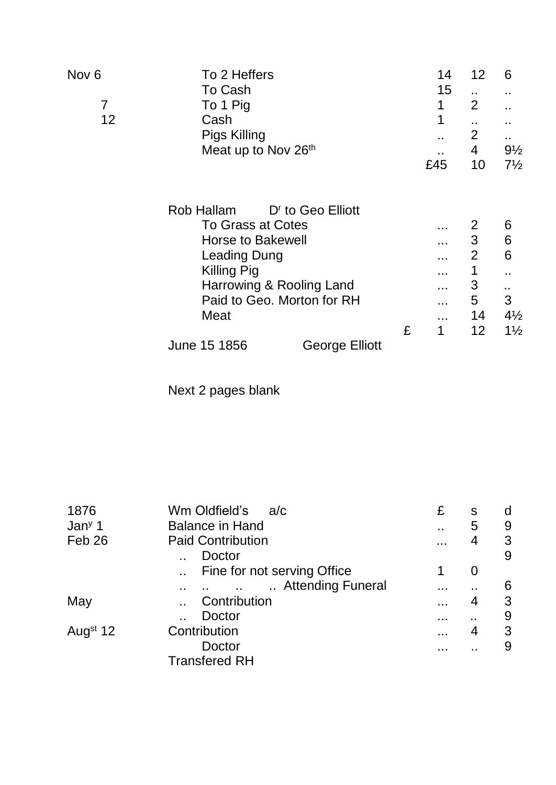| Nov <sub>6</sub> | To 2 Heffers             |                               |   | 14        | 12             | 6                    |
|------------------|--------------------------|-------------------------------|---|-----------|----------------|----------------------|
|                  | <b>To Cash</b>           |                               |   | 15        | à.             | $\blacksquare$       |
| $\overline{7}$   | To 1 Pig                 |                               |   | 1         | $\overline{2}$ |                      |
| 12               | Cash                     |                               |   | 1         | ο.             | $\blacksquare$       |
|                  | Pigs Killing             |                               |   |           | $\overline{2}$ | Ω.                   |
|                  | Meat up to Nov 26th      |                               |   | ۰.        | 4              | $9\frac{1}{2}$       |
|                  |                          |                               |   | £45       | 10             | $7\frac{1}{2}$       |
|                  | Rob Hallam               | D <sub>r</sub> to Geo Elliott |   |           |                |                      |
|                  | <b>To Grass at Cotes</b> |                               |   |           | $\overline{2}$ | 6                    |
|                  | <b>Horse to Bakewell</b> |                               |   | .         | 3              | $6\phantom{1}6$      |
|                  | Leading Dung             |                               |   |           | $\overline{2}$ | $6\phantom{1}6$      |
|                  | Killing Pig              |                               |   | .         | 1              |                      |
|                  | Harrowing & Rooling Land |                               |   |           | 3              | $\ddot{\phantom{1}}$ |
|                  |                          |                               |   | .         |                | ò,                   |
|                  |                          | Paid to Geo. Morton for RH    |   | .         | 5              | 3                    |
|                  | Meat                     |                               |   | $\ddotsc$ | 14             | $4\frac{1}{2}$       |
|                  |                          |                               | £ | 1         | 12             | $1\frac{1}{2}$       |
|                  | June 15 1856             | <b>George Elliott</b>         |   |           |                |                      |
|                  |                          |                               |   |           |                |                      |

Next 2 pages blank

| 1876                 | Wm Oldfield's<br>a/c              | £              | S              | d |
|----------------------|-----------------------------------|----------------|----------------|---|
| Jan <sup>y</sup> 1   | <b>Balance in Hand</b>            | $\blacksquare$ | 5              | 9 |
| Feb <sub>26</sub>    | <b>Paid Contribution</b>          | .              | 4              | 3 |
|                      | Doctor<br>$\ddot{\phantom{a}}$    |                |                | 9 |
|                      | Fine for not serving Office<br>ä. |                | O              |   |
|                      | Attending Funeral<br>$\mathbf{r}$ | .              | . .            | 6 |
| May                  | Contribution                      | $\cdots$       | 4              | 3 |
|                      | Doctor                            | .              | $\sim$ $\sim$  | 9 |
| Aug <sup>st</sup> 12 | Contribution                      | .              | 4              | 3 |
|                      | Doctor                            | .              | $\blacksquare$ | 9 |
|                      | <b>Transfered RH</b>              |                |                |   |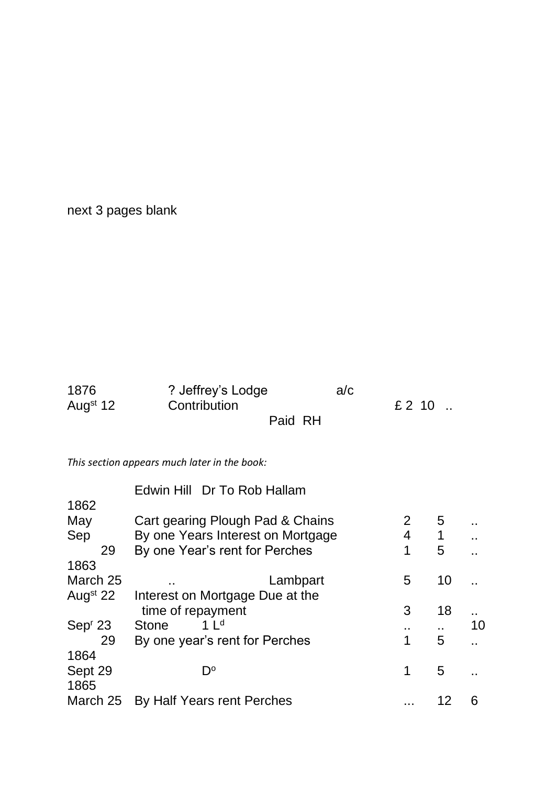## next 3 pages blank

| 1876                 | ? Jeffrey's Lodge | a/c |        |
|----------------------|-------------------|-----|--------|
| Aug <sup>st</sup> 12 | Contribution      |     | £ 2 10 |
|                      | Paid RH           |     |        |

*This section appears much later in the book:*

|                      | Edwin Hill Dr To Rob Hallam       |                           |    |                      |
|----------------------|-----------------------------------|---------------------------|----|----------------------|
| 1862                 |                                   |                           |    |                      |
| May                  | Cart gearing Plough Pad & Chains  | $\mathbf{2}^{\mathsf{I}}$ | 5  | $\bullet$ $\bullet$  |
| Sep                  | By one Years Interest on Mortgage | 4                         | 1  | $\ddot{\phantom{a}}$ |
| 29                   | By one Year's rent for Perches    | 1                         | 5  |                      |
| 1863                 |                                   |                           |    |                      |
| March 25             | Lambpart                          | 5                         | 10 |                      |
| Aug <sup>st</sup> 22 | Interest on Mortgage Due at the   |                           |    |                      |
|                      | time of repayment                 | 3                         | 18 | $\sim$ $\sim$        |
| Sep <sup>r</sup> 23  | 1 <sup>d</sup><br><b>Stone</b>    |                           |    | 10                   |
| 29                   | By one year's rent for Perches    | 1                         | 5  |                      |
| 1864                 |                                   |                           |    |                      |
| Sept 29              | D٥                                | 1                         | 5  |                      |
| 1865                 |                                   |                           |    |                      |
| March 25             | By Half Years rent Perches        |                           |    | 6                    |
|                      |                                   |                           |    |                      |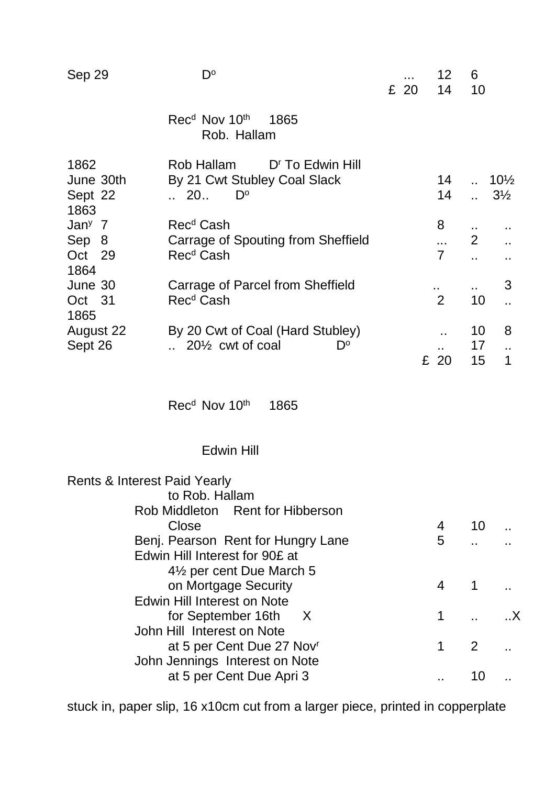| Sep 29                                        | D°                                                                                                  | £ 20 | 12<br>14                | 6<br>10                                           |                                   |
|-----------------------------------------------|-----------------------------------------------------------------------------------------------------|------|-------------------------|---------------------------------------------------|-----------------------------------|
|                                               | Rec <sup>d</sup> Nov 10 <sup>th</sup><br>1865<br>Rob. Hallam                                        |      |                         |                                                   |                                   |
| 1862<br>June 30th<br>Sept 22<br>1863          | Rob Hallam<br>D' To Edwin Hill<br>By 21 Cwt Stubley Coal Slack<br>$\therefore$ 20.<br>D°            |      | 14<br>14                | $\mathbf{H}^{\mathrm{c}}$<br>$\ddot{\phantom{a}}$ | $10\frac{1}{2}$<br>$3\frac{1}{2}$ |
| Jan <sup>y</sup> 7<br>Sep 8<br>Oct 29<br>1864 | Rec <sup>d</sup> Cash<br>Carrage of Spouting from Sheffield<br>Rec <sup>d</sup> Cash                |      | 8<br><br>$\overline{7}$ | $\epsilon$ .<br>$\overline{2}$                    |                                   |
| June 30<br>Oct 31<br>1865                     | Carrage of Parcel from Sheffield<br>Rec <sup>d</sup> Cash                                           |      | $\overline{2}$          | ٠.<br>10                                          | 3<br>Ω.                           |
| August 22<br>Sept 26                          | By 20 Cwt of Coal (Hard Stubley)<br>$\therefore$ 20 $\frac{1}{2}$ cwt of coal<br>D°                 |      | E<br>20                 | 10<br>17<br>15                                    | 8<br>$\ddot{\phantom{1}}$<br>1    |
|                                               | Rec <sup>d</sup> Nov 10 <sup>th</sup><br>1865                                                       |      |                         |                                                   |                                   |
|                                               | <b>Edwin Hill</b>                                                                                   |      |                         |                                                   |                                   |
| <b>Rents &amp; Interest Paid Yearly</b>       | to Rob. Hallam<br>Rob Middleton Rent for Hibberson                                                  |      |                         |                                                   |                                   |
|                                               | Close<br>Benj. Pearson Rent for Hungry Lane<br>Edwin Hill Interest for 90£ at                       |      | 4<br>5                  | 10                                                |                                   |
|                                               | 4 <sup>1/2</sup> per cent Due March 5<br>on Mortgage Security<br><b>Edwin Hill Interest on Note</b> |      | 4                       | 1                                                 |                                   |
|                                               | for September 16th<br>X<br>John Hill Interest on Note                                               |      | 1                       |                                                   |                                   |
|                                               | at 5 per Cent Due 27 Nov <sup>r</sup><br>John Jennings Interest on Note                             |      | 1                       | $\overline{2}$                                    |                                   |

stuck in, paper slip, 16 x10cm cut from a larger piece, printed in copperplate

at 5 per Cent Due Apri 3 ... 10 ...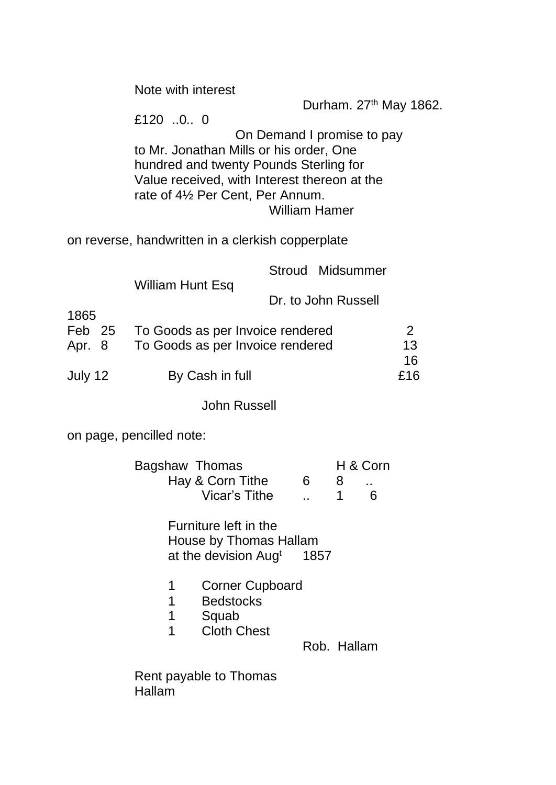|                |        | Note with interest                                                                                                                                                                              |                      |                            |               |
|----------------|--------|-------------------------------------------------------------------------------------------------------------------------------------------------------------------------------------------------|----------------------|----------------------------|---------------|
|                |        | £12000                                                                                                                                                                                          |                      | Durham. 27th May 1862.     |               |
|                |        | to Mr. Jonathan Mills or his order, One<br>hundred and twenty Pounds Sterling for<br>Value received, with Interest thereon at the<br>rate of 4 <sup>1</sup> / <sub>2</sub> Per Cent, Per Annum. | <b>William Hamer</b> | On Demand I promise to pay |               |
|                |        | on reverse, handwritten in a clerkish copperplate                                                                                                                                               |                      |                            |               |
|                |        |                                                                                                                                                                                                 |                      | Stroud Midsummer           |               |
|                |        | William Hunt Esq                                                                                                                                                                                |                      | Dr. to John Russell        |               |
| 1865<br>Apr. 8 | Feb 25 | To Goods as per Invoice rendered<br>To Goods as per Invoice rendered                                                                                                                            |                      |                            | 2<br>13<br>16 |
| July 12        |        | By Cash in full                                                                                                                                                                                 |                      |                            | £16           |
|                |        | <b>John Russell</b>                                                                                                                                                                             |                      |                            |               |
|                |        |                                                                                                                                                                                                 |                      |                            |               |

on page, pencilled note:

| Bagshaw Thomas   |   |   | H & Corn |
|------------------|---|---|----------|
| Hay & Corn Tithe | 6 | 8 |          |
| Vicar's Tithe    |   |   | ĥ        |

Furniture left in the House by Thomas Hallam at the devision Aug<sup>t</sup> 1857

- 1 Corner Cupboard
- 1 Bedstocks
- 1 Squab
- 1 Cloth Chest

Rob. Hallam

Rent payable to Thomas Hallam